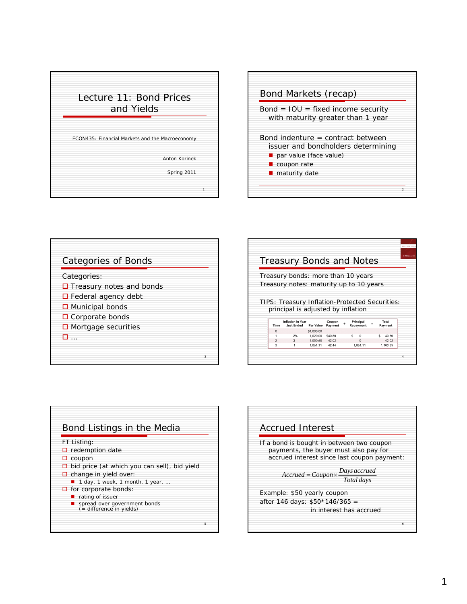



| <b>Categories of Bonds</b>      |   |
|---------------------------------|---|
| Categories:                     |   |
| $\Box$ Treasury notes and bonds |   |
| $\Box$ Federal agency debt      |   |
| □ Municipal bonds               |   |
| $\Box$ Corporate bonds          |   |
| $\Box$ Mortgage securities      |   |
|                                 |   |
|                                 |   |
|                                 | 3 |

|                     |                                                |                      | <b>Treasury Bonds and Notes</b> |           |    |                      |     |    |                   |  |
|---------------------|------------------------------------------------|----------------------|---------------------------------|-----------|----|----------------------|-----|----|-------------------|--|
|                     | Treasury bonds: more than 10 years             |                      |                                 |           |    |                      |     |    |                   |  |
|                     |                                                |                      |                                 |           |    |                      |     |    |                   |  |
|                     | Treasury notes: maturity up to 10 years        |                      |                                 |           |    |                      |     |    |                   |  |
|                     |                                                |                      |                                 |           |    |                      |     |    |                   |  |
|                     |                                                |                      |                                 |           |    |                      |     |    |                   |  |
|                     |                                                |                      |                                 |           |    |                      |     |    |                   |  |
|                     | TIPS: Treasury Inflation-Protected Securities: |                      |                                 |           |    |                      |     |    |                   |  |
|                     | principal is adjusted by inflation             |                      |                                 |           |    |                      |     |    |                   |  |
|                     | <b>Inflation in Year</b>                       |                      | Coupon                          |           |    | Principal            |     |    | Total             |  |
| Time                | <b>Just Ended</b>                              | <b>Par Value</b>     | Payment                         | $\ddot{}$ |    | Repayment            | $=$ |    | Payment           |  |
| $\mathbf{0}$        |                                                | \$1,000.00           |                                 |           |    |                      |     |    |                   |  |
|                     | 2%                                             | 1,020.00             | \$40.80                         |           | Š. | $\mathbf 0$          |     | Š. | 40.80             |  |
| $\overline{2}$<br>3 | 3                                              | 1,050.60<br>1.061.11 | 42.02<br>42.44                  |           |    | $\Omega$<br>1.061.11 |     |    | 42.02<br>1.103.55 |  |



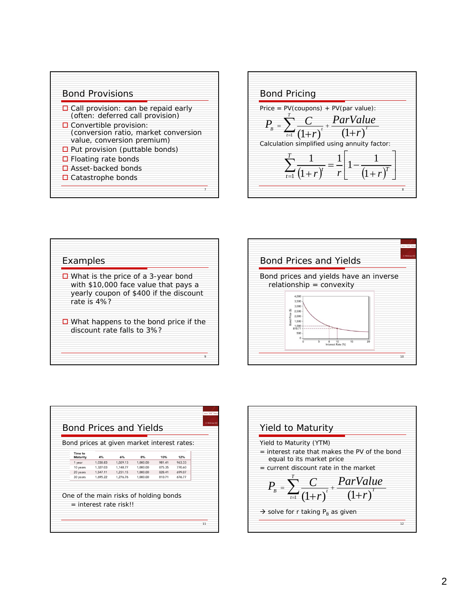



## Examples

 $\Box$  What is the price of a 3-year bond with \$10,000 face value that pays a yearly coupon of \$400 if the discount rate is 4%?

 $\Box$  What happens to the bond price if the discount rate falls to 3%?

9





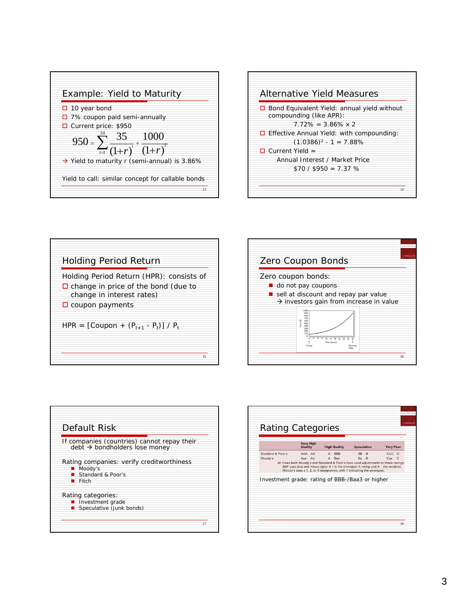